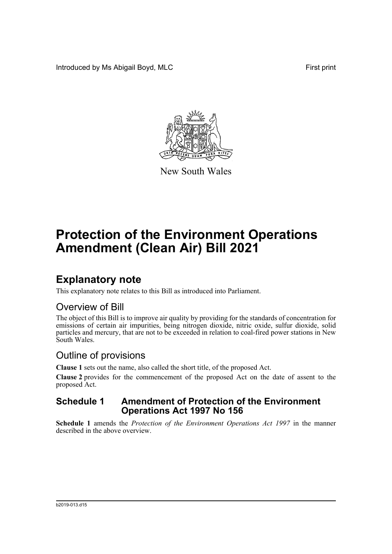Introduced by Ms Abigail Boyd, MLC **First print** 



New South Wales

# **Protection of the Environment Operations Amendment (Clean Air) Bill 2021**

## **Explanatory note**

This explanatory note relates to this Bill as introduced into Parliament.

### Overview of Bill

The object of this Bill is to improve air quality by providing for the standards of concentration for emissions of certain air impurities, being nitrogen dioxide, nitric oxide, sulfur dioxide, solid particles and mercury, that are not to be exceeded in relation to coal-fired power stations in New South Wales.

## Outline of provisions

**Clause 1** sets out the name, also called the short title, of the proposed Act.

**Clause 2** provides for the commencement of the proposed Act on the date of assent to the proposed Act.

### **Schedule 1 Amendment of Protection of the Environment Operations Act 1997 No 156**

**Schedule 1** amends the *Protection of the Environment Operations Act 1997* in the manner described in the above overview.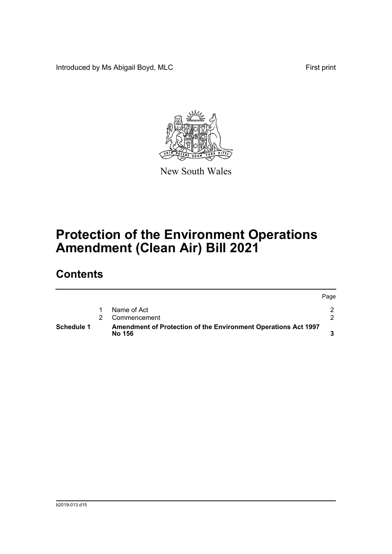Introduced by Ms Abigail Boyd, MLC **First print** 



New South Wales

# **Protection of the Environment Operations Amendment (Clean Air) Bill 2021**

## **Contents**

| Schedule 1 | Amendment of Protection of the Environment Operations Act 1997<br>No 156 |      |
|------------|--------------------------------------------------------------------------|------|
|            | Commencement                                                             |      |
|            | Name of Act                                                              |      |
|            |                                                                          | Page |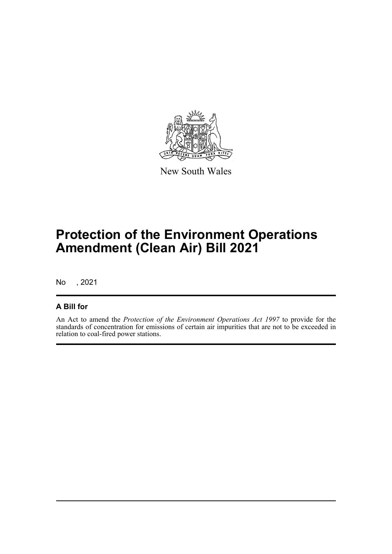

New South Wales

# **Protection of the Environment Operations Amendment (Clean Air) Bill 2021**

No , 2021

### **A Bill for**

An Act to amend the *Protection of the Environment Operations Act 1997* to provide for the standards of concentration for emissions of certain air impurities that are not to be exceeded in relation to coal-fired power stations.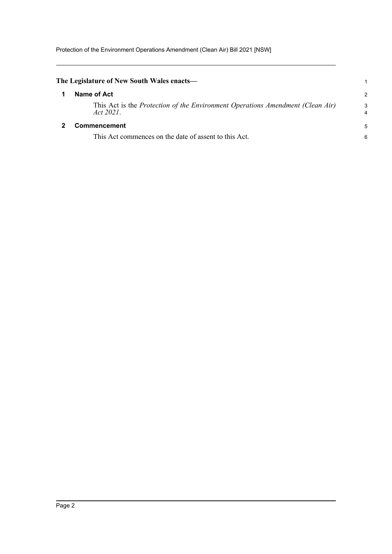<span id="page-3-1"></span><span id="page-3-0"></span>

| The Legislature of New South Wales enacts—                                                  |               |
|---------------------------------------------------------------------------------------------|---------------|
| Name of Act                                                                                 | $\mathcal{P}$ |
| This Act is the Protection of the Environment Operations Amendment (Clean Air)<br>Act 2021. | 3<br>4        |
| <b>Commencement</b>                                                                         | 5             |
| This Act commences on the date of assent to this Act.                                       | 6             |
|                                                                                             |               |